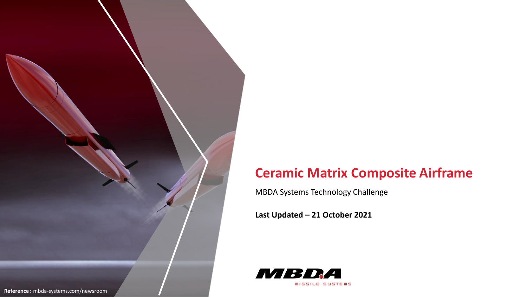

# **Ceramic Matrix Composite Airframe**

MBDA Systems Technology Challenge

**Last Updated – 21 October 2021**

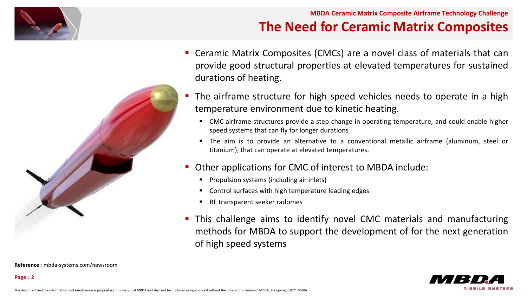



**Reference :** mbda-systems.com/newsroom

**Page : 2**

### **MBDA Ceramic Matrix Composite Airframe Technology Challenge The Need for Ceramic Matrix Composites**

- Ceramic Matrix Composites (CMCs) are a novel class of materials that can provide good structural properties at elevated temperatures for sustained durations of heating.
- **The airframe structure for high speed vehicles needs to operate in a high** temperature environment due to kinetic heating.
	- CMC airframe structures provide a step change in operating temperature, and could enable higher speed systems that can fly for longer durations
	- The aim is to provide an alternative to a conventional metallic airframe (aluminum, steel or titanium), that can operate at elevated temperatures.
- Other applications for CMC of interest to MBDA include:
	- Propulsion systems (including air inlets)
	- Control surfaces with high temperature leading edges
	- RF transparent seeker radomes
- This challenge aims to identify novel CMC materials and manufacturing methods for MBDA to support the development of for the next generation of high speed systems

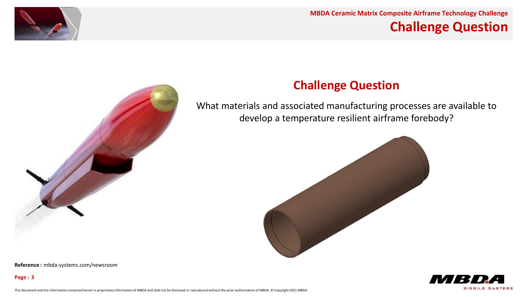

#### **MBDA Ceramic Matrix Composite Airframe Technology Challenge Challenge Question**



### **Challenge Question**

What materials and associated manufacturing processes are available to develop a temperature resilient airframe forebody?





**Reference :** mbda-systems.com/newsroom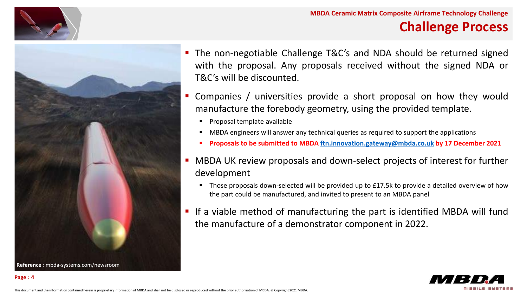



 The non-negotiable Challenge T&C's and NDA should be returned signed with the proposal. Any proposals received without the signed NDA or T&C's will be discounted.

**MBDA Ceramic Matrix Composite Airframe Technology Challenge**

**Challenge Process**

- Companies / universities provide a short proposal on how they would manufacture the forebody geometry, using the provided template.
	- Proposal template available
	- MBDA engineers will answer any technical queries as required to support the applications
	- **Proposals to be submitted to MBDA [ftn.innovation.gateway@mbda.co.uk](mailto:ftn.innovation.gateway@mbda.co.uk) by 17 December 2021**
- MBDA UK review proposals and down-select projects of interest for further development
	- Those proposals down-selected will be provided up to £17.5k to provide a detailed overview of how the part could be manufactured, and invited to present to an MBDA panel
- If a viable method of manufacturing the part is identified MBDA will fund the manufacture of a demonstrator component in 2022.

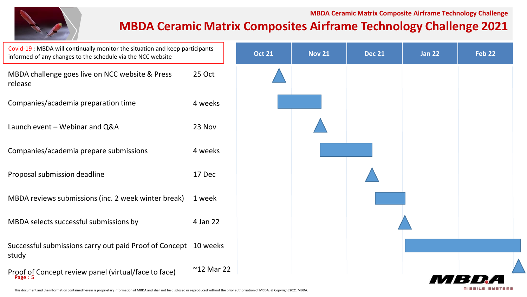#### **MBDA Ceramic Matrix Composite Airframe Technology Challenge**

### **MBDA Ceramic Matrix Composites Airframe Technology Challenge 2021**



This document and the information contained herein is proprietary information of MBDA and shall not be disclosed or reproduced without the prior authorisation of MBDA. © Copyright 2021 MBDA.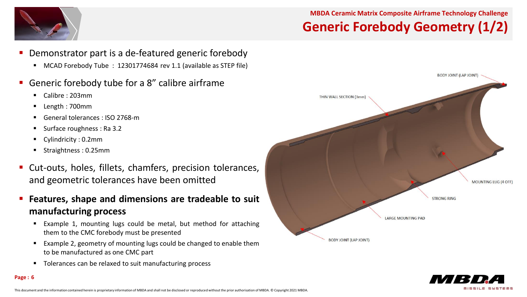#### **MBDA Ceramic Matrix Composite Airframe Technology Challenge Generic Forebody Geometry (1/2)**



- Demonstrator part is a de-featured generic forebody
	- MCAD Forebody Tube : 12301774684 rev 1.1 (available as STEP file)
- Generic forebody tube for a 8" calibre airframe
	- Calibre : 203mm
	- Length : 700mm
	- General tolerances : ISO 2768-m
	- Surface roughness : Ra 3.2
	- Cylindricity : 0.2mm

**Page : 6**

- Straightness : 0.25mm
- Cut-outs, holes, fillets, chamfers, precision tolerances, and geometric tolerances have been omitted
- **Features, shape and dimensions are tradeable to suit manufacturing process**
	- Example 1, mounting lugs could be metal, but method for attaching them to the CMC forebody must be presented
	- Example 2, geometry of mounting lugs could be changed to enable them to be manufactured as one CMC part
	- **Tolerances can be relaxed to suit manufacturing process**



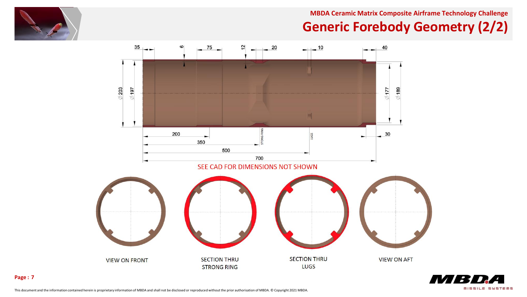

**MBDA Ceramic Matrix Composite Airframe Technology Challenge**

# **Generic Forebody Geometry (2/2)**



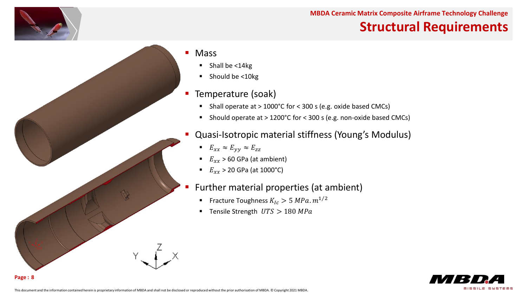

# **Structural Requirements**

#### ■ Mass

- Shall be <14kg
- Should be <10kg

#### **Temperature (soak)**

- Shall operate at > 1000°C for < 300 s (e.g. oxide based CMCs)
- Should operate at > 1200°C for < 300 s (e.g. non-oxide based CMCs)
- Quasi-Isotropic material stiffness (Young's Modulus)
	- $E_{xx} \approx E_{yy} \approx E_{zz}$
	- $E_{rr}$  > 60 GPa (at ambient)
	- $E_{xx} > 20$  GPa (at 1000°C)
- Further material properties (at ambient)
	- **Fracture Toughness**  $K_{1c} > 5 MPa.m^{1/2}$
	- Tensile Strength  $UTS > 180 MPa$

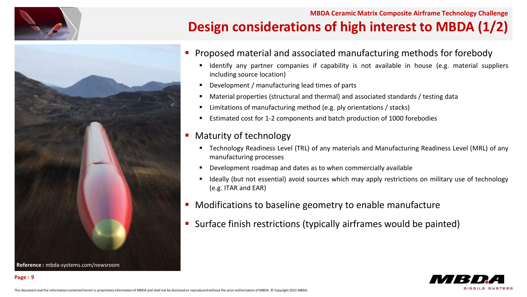





- Proposed material and associated manufacturing methods for forebody
	- Identify any partner companies if capability is not available in house (e.g. material suppliers including source location)
	- Development / manufacturing lead times of parts
	- Material properties (structural and thermal) and associated standards / testing data
	- Limitations of manufacturing method (e.g. ply orientations / stacks)
	- Estimated cost for 1-2 components and batch production of 1000 forebodies
- **Maturity of technology** 
	- Technology Readiness Level (TRL) of any materials and Manufacturing Readiness Level (MRL) of any manufacturing processes
	- Development roadmap and dates as to when commercially available
	- Ideally (but not essential) avoid sources which may apply restrictions on military use of technology (e.g. ITAR and EAR)
- **Modifications to baseline geometry to enable manufacture**
- Surface finish restrictions (typically airframes would be painted)

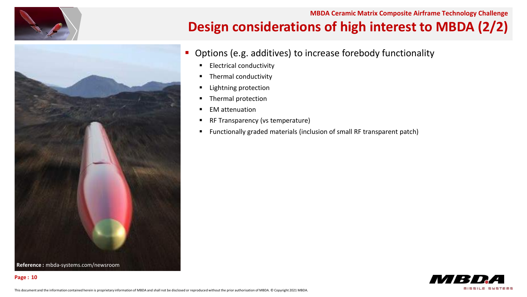

#### **MBDA Ceramic Matrix Composite Airframe Technology Challenge Design considerations of high interest to MBDA (2/2)**





- **Options (e.g. additives) to increase forebody functionality** 
	- **Electrical conductivity**
	- Thermal conductivity
	- Lightning protection
	- **Thermal protection**
	- EM attenuation
	- RF Transparency (vs temperature)
	- Functionally graded materials (inclusion of small RF transparent patch)

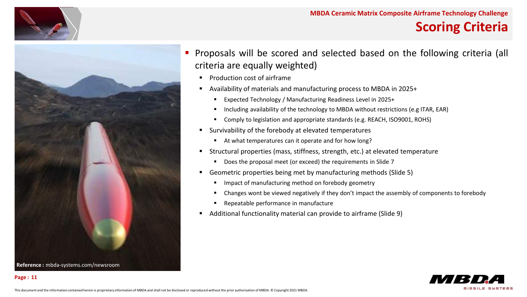

### **Scoring Criteria**



 Proposals will be scored and selected based on the following criteria (all criteria are equally weighted)

- **Production cost of airframe**
- Availability of materials and manufacturing process to MBDA in 2025+
	- Expected Technology / Manufacturing Readiness Level in 2025+
	- Including availability of the technology to MBDA without restrictions (e.g ITAR, EAR)
	- Comply to legislation and appropriate standards (e.g. REACH, ISO9001, ROHS)
- Survivability of the forebody at elevated temperatures
	- At what temperatures can it operate and for how long?
- Structural properties (mass, stiffness, strength, etc.) at elevated temperature
	- Does the proposal meet (or exceed) the requirements in Slide 7
- Geometric properties being met by manufacturing methods (Slide 5)
	- Impact of manufacturing method on forebody geometry
	- Changes wont be viewed negatively if they don't impact the assembly of components to forebody
	- Repeatable performance in manufacture
- Additional functionality material can provide to airframe (Slide 9)